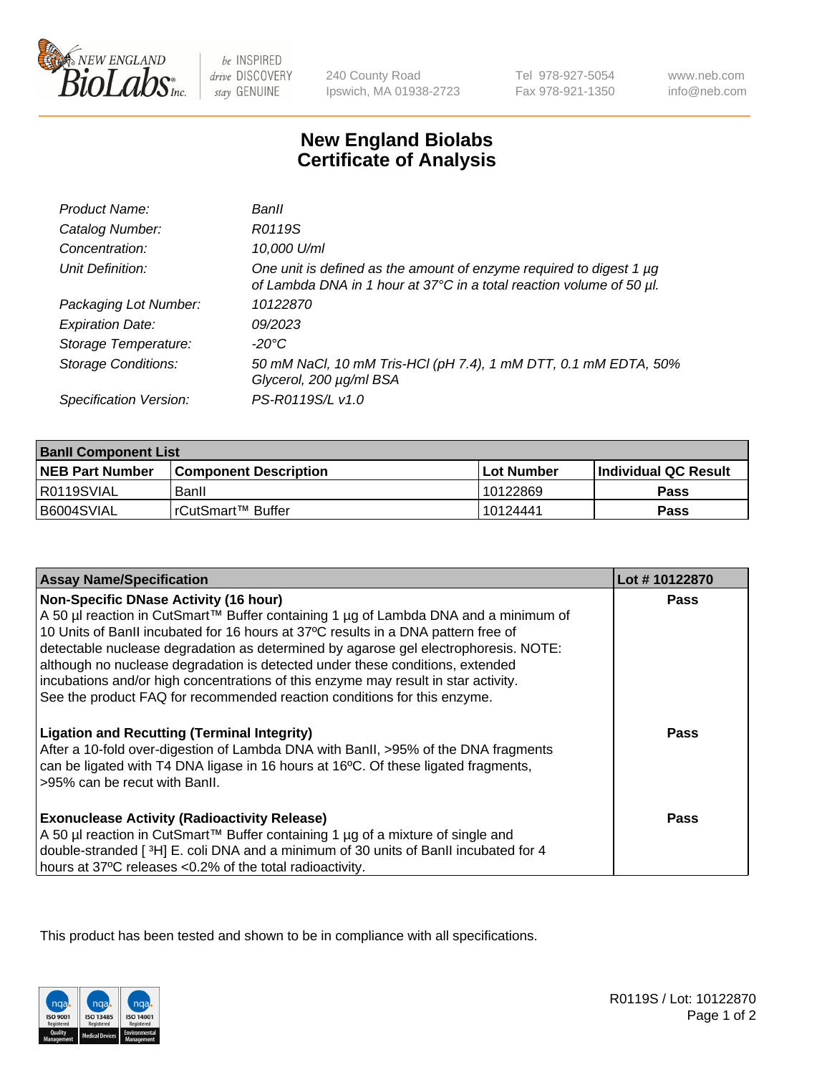

 $be$  INSPIRED drive DISCOVERY stay GENUINE

240 County Road Ipswich, MA 01938-2723 Tel 978-927-5054 Fax 978-921-1350

www.neb.com info@neb.com

## **New England Biolabs Certificate of Analysis**

| Product Name:              | Banll                                                                                                                                       |
|----------------------------|---------------------------------------------------------------------------------------------------------------------------------------------|
| Catalog Number:            | R0119S                                                                                                                                      |
| Concentration:             | 10,000 U/ml                                                                                                                                 |
| Unit Definition:           | One unit is defined as the amount of enzyme required to digest 1 µg<br>of Lambda DNA in 1 hour at 37°C in a total reaction volume of 50 µl. |
| Packaging Lot Number:      | 10122870                                                                                                                                    |
| <b>Expiration Date:</b>    | 09/2023                                                                                                                                     |
| Storage Temperature:       | $-20^{\circ}$ C                                                                                                                             |
| <b>Storage Conditions:</b> | 50 mM NaCl, 10 mM Tris-HCl (pH 7.4), 1 mM DTT, 0.1 mM EDTA, 50%<br>Glycerol, 200 µg/ml BSA                                                  |
| Specification Version:     | PS-R0119S/L v1.0                                                                                                                            |

| <b>Banll Component List</b> |                         |              |                             |  |
|-----------------------------|-------------------------|--------------|-----------------------------|--|
| <b>NEB Part Number</b>      | l Component Description | l Lot Number | <b>Individual QC Result</b> |  |
| R0119SVIAL                  | Banll                   | 10122869     | Pass                        |  |
| B6004SVIAL                  | l rCutSmart™ Buffer_    | 10124441     | Pass                        |  |

| <b>Assay Name/Specification</b>                                                                                                                                                                                                                                                                                                                                                                                                                                                                                                                                    | Lot #10122870 |
|--------------------------------------------------------------------------------------------------------------------------------------------------------------------------------------------------------------------------------------------------------------------------------------------------------------------------------------------------------------------------------------------------------------------------------------------------------------------------------------------------------------------------------------------------------------------|---------------|
| <b>Non-Specific DNase Activity (16 hour)</b><br>A 50 µl reaction in CutSmart™ Buffer containing 1 µg of Lambda DNA and a minimum of<br>10 Units of BanII incubated for 16 hours at 37°C results in a DNA pattern free of<br>detectable nuclease degradation as determined by agarose gel electrophoresis. NOTE:<br>although no nuclease degradation is detected under these conditions, extended<br>incubations and/or high concentrations of this enzyme may result in star activity.<br>See the product FAQ for recommended reaction conditions for this enzyme. | <b>Pass</b>   |
| <b>Ligation and Recutting (Terminal Integrity)</b><br>After a 10-fold over-digestion of Lambda DNA with BanII, >95% of the DNA fragments<br>can be ligated with T4 DNA ligase in 16 hours at 16°C. Of these ligated fragments,<br>>95% can be recut with Banll.                                                                                                                                                                                                                                                                                                    | Pass          |
| <b>Exonuclease Activity (Radioactivity Release)</b><br>A 50 µl reaction in CutSmart™ Buffer containing 1 µg of a mixture of single and<br>double-stranded [3H] E. coli DNA and a minimum of 30 units of BanII incubated for 4<br>hours at 37°C releases <0.2% of the total radioactivity.                                                                                                                                                                                                                                                                          | Pass          |

This product has been tested and shown to be in compliance with all specifications.